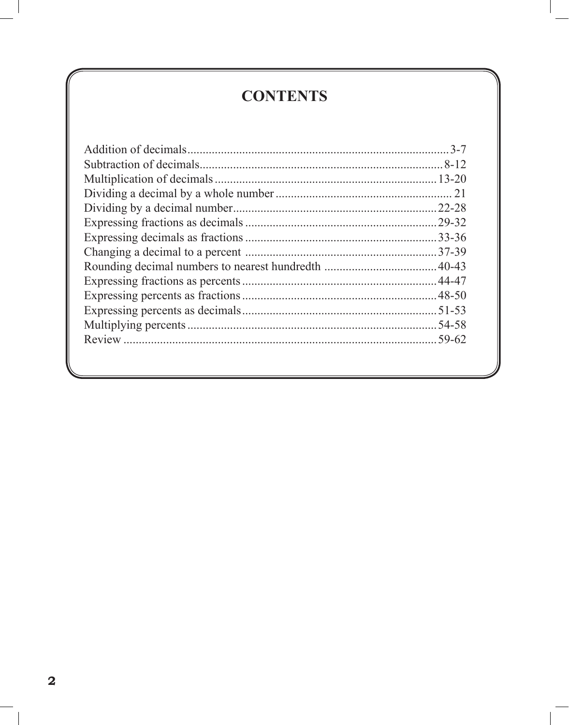## **CONTENTS**

| $.3 - 7$ |
|----------|
|          |
|          |
|          |
|          |
|          |
|          |
|          |
|          |
|          |
|          |
|          |
|          |
|          |
|          |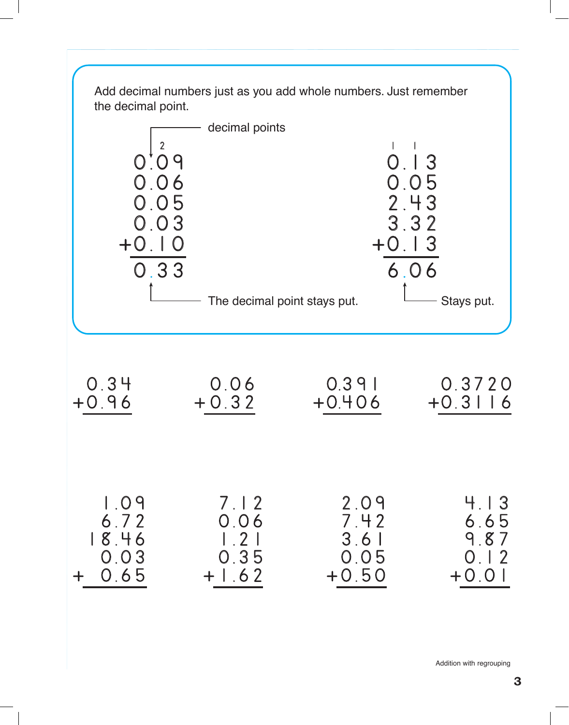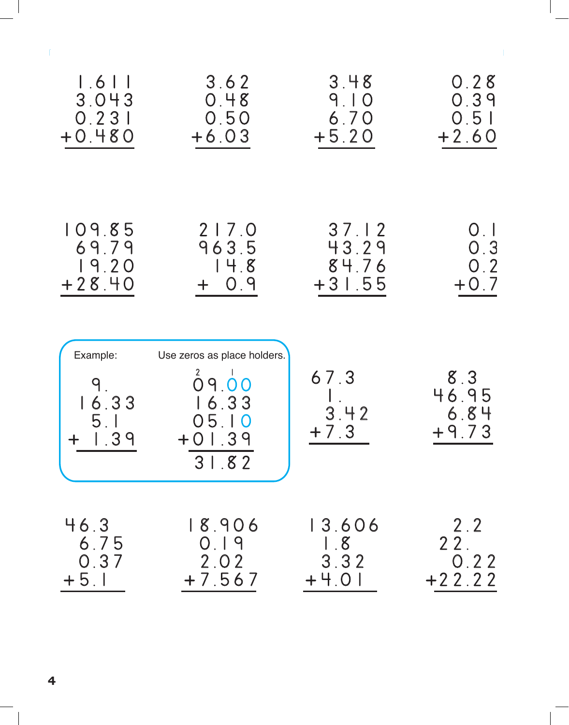| $1.6$ $\overline{\phantom{0}}$        | 3.62                                                                        | 3.48                   | 0.28                            |
|---------------------------------------|-----------------------------------------------------------------------------|------------------------|---------------------------------|
| 3.043                                 | 0.48                                                                        | 9.10                   | 0.39                            |
| 0.231                                 | 0.50                                                                        | 6.70                   | 0.51                            |
| $+0.480$                              | $+6.03$                                                                     | $+5.20$                | $+2.60$                         |
| 109.85                                | 217.0                                                                       | 37.12                  | $\mathsf{O}$ . $\mathsf{I}$     |
| 69.79                                 | 963.5                                                                       | 43.29                  | 0.3                             |
| 19.20                                 | 14.8                                                                        | 84.76                  | 0.2                             |
| $+28.40$                              | $+ 0.9$                                                                     | $+31.55$               | $+0.7$                          |
| Example:<br>9<br>16.33<br>5.1<br>1.39 | Use zeros as place holders.<br>09.00<br>16.33<br>05.10<br>$+01.39$<br>31.82 | 67.3<br>3.42<br>$+7.3$ | 8.3<br>46.95<br>6.84<br>$+9.73$ |
| 46.3                                  | 18.906                                                                      | 13.606                 | 2.2                             |
| 6.75                                  | 0.19                                                                        | 1.8                    | 22.                             |
| 0.37                                  | 2.02                                                                        | 3.32                   | 0.22                            |
| $+5.1$                                | $+7.567$                                                                    | $+4.0$                 | $+22.22$                        |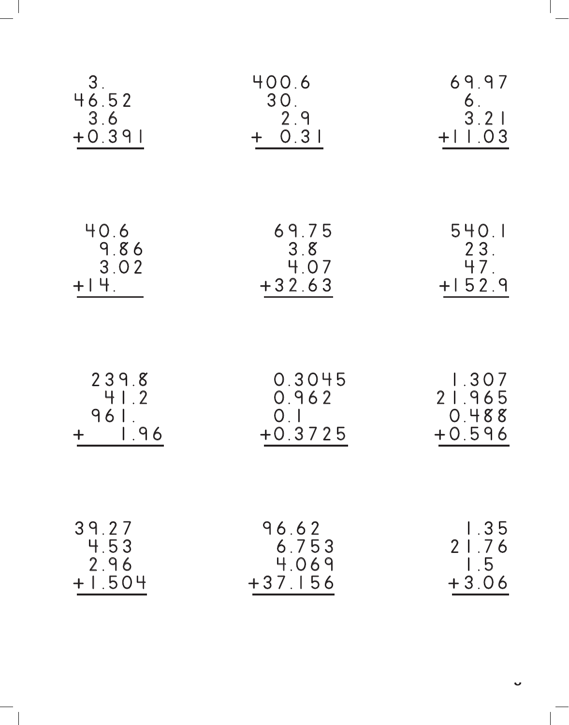| 3 <sub>1</sub><br>46.52<br>3.6<br>$+0.391$ | 400.6<br>30.<br>2.9<br>0.31<br>$+$ | 69.97<br>6.<br>3.21<br>$+11.03$ |
|--------------------------------------------|------------------------------------|---------------------------------|
| 40.6                                       | 69.75                              | 540.1                           |
| 9.86                                       | 3.8                                | 23.                             |
| 3.02                                       | 4.07                               | 47.                             |
| $+$ $+$ $+$ .                              | $+32.63$                           | $+152.9$                        |
| 239.8                                      | 0.3045                             | 1.307                           |
| 41.2                                       | 0.962                              | 21.965                          |
| 961.                                       | 0.1                                | 0.488                           |
| 1.96                                       | $+0.3725$                          | $+0.596$                        |
| 39.27                                      | 96.62                              | 1.35                            |
| 4.53                                       | 6.753                              | 21.76                           |
| 2.96                                       | 4.069                              | 1.5                             |
| $+1.504$                                   | $+37.156$                          | $+3.06$                         |